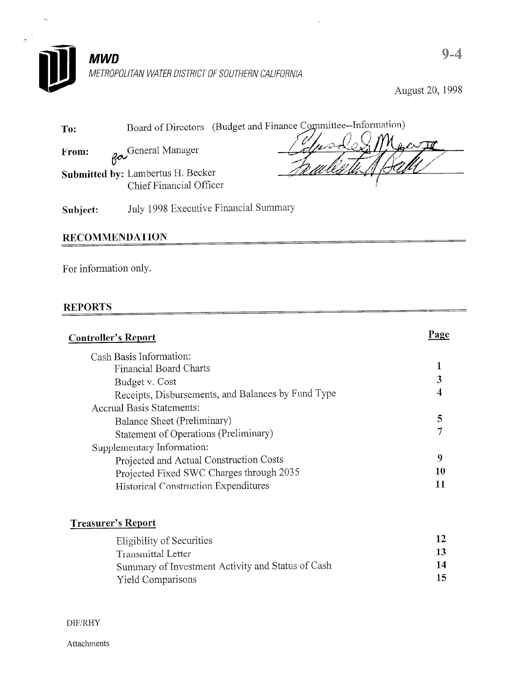

August 20, 1998

| To:   |                    | Board of Directors (Budget and Finance Committee--Information) |
|-------|--------------------|----------------------------------------------------------------|
| From: | Ra General Manager | Telmodo & Macros<br>In what A Boller                           |

Submitted by: Lambertus H. Becker Chief Financial Officer

Femlente A Ball

Subject: July 1998 Executive Financial Summary

### **RECOMMENDATION**

For information only.

### **REPORTS**

| <b>Controller's Report</b>                         | 'age |
|----------------------------------------------------|------|
| Cash Basis Information:                            |      |
| Financial Board Charts                             |      |
| Budget v. Cost                                     |      |
| Receipts, Disbursements, and Balances by Fund Type |      |
| <b>Accrual Basis Statements:</b>                   |      |
| Balance Sheet (Preliminary)                        |      |
| Statement of Operations (Preliminary)              |      |
| Supplementary Information:                         |      |
| Projected and Actual Construction Costs            | 9    |
| Projected Fixed SWC Charges through 2035           |      |
| Historical Construction Expenditures               |      |
|                                                    |      |

### Treasurer's Report

| Eligibility of Securities                         | 12. |
|---------------------------------------------------|-----|
| Transmittal Letter                                | 13  |
| Summary of Investment Activity and Status of Cash | 14  |
| <b>Yield Comparisons</b>                          | 15. |

DlF/RHY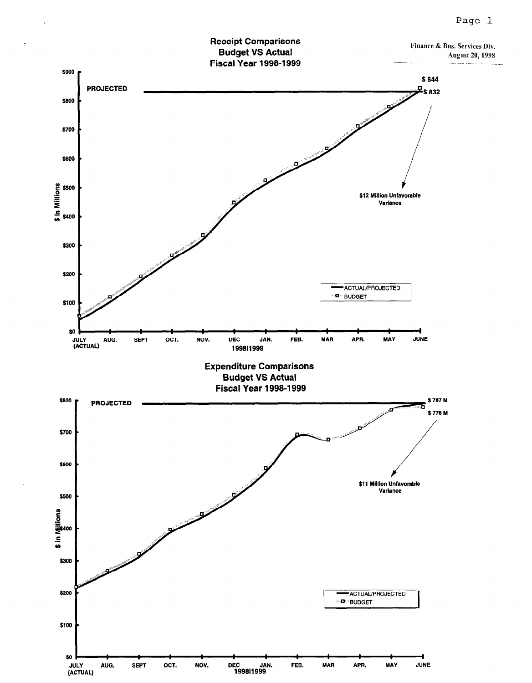

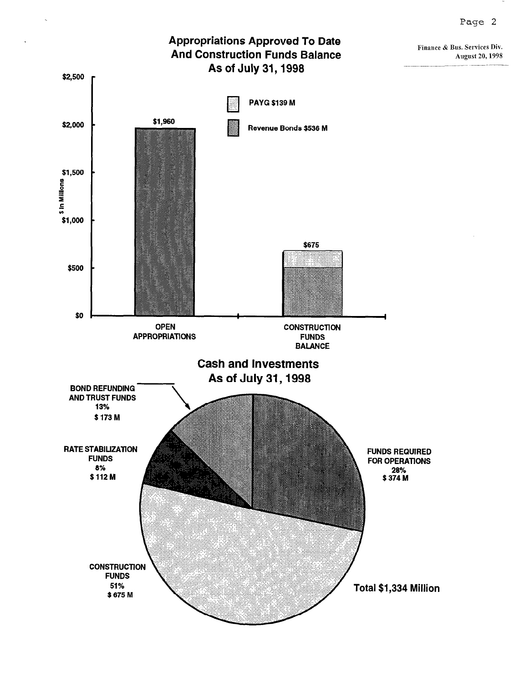

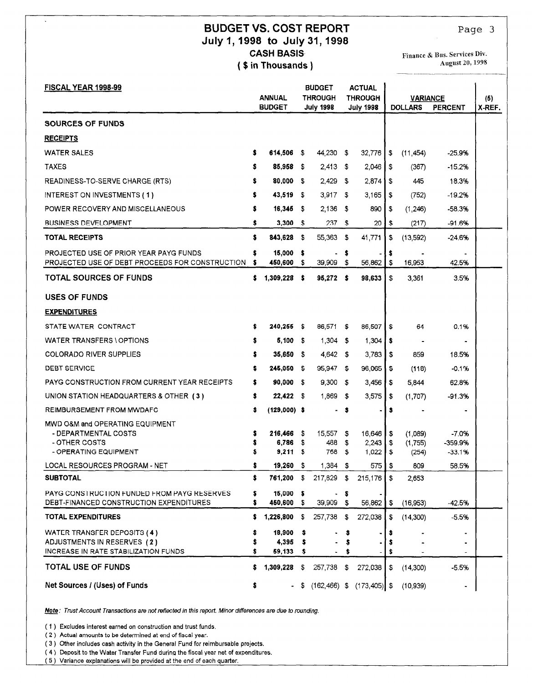### BUDGET VS. COST REPORT July I,1998 to July 31,1998 **CASH BASIS** ( \$ in Thousands )

Finance & Dus. Services Div. August 20, 1998

| FISCAL YEAR 1998-99                                                                              |        | <b>ANNUAL</b>       |           | <b>BUDGET</b><br>THROUGH |          | <b>ACTUAL</b><br><b>THROUGH</b> |         | <b>VARIANCE</b>    |                    | (5)    |
|--------------------------------------------------------------------------------------------------|--------|---------------------|-----------|--------------------------|----------|---------------------------------|---------|--------------------|--------------------|--------|
|                                                                                                  |        | <b>BUDGET</b>       |           | <b>July 1998</b>         |          | <b>July 1998</b>                |         | <b>DOLLARS</b>     | <b>PERCENT</b>     | X-REF. |
| <b>SOURCES OF FUNDS</b>                                                                          |        |                     |           |                          |          |                                 |         |                    |                    |        |
| <b>RECEIPTS</b>                                                                                  |        |                     |           |                          |          |                                 |         |                    |                    |        |
| <b>WATER SALES</b>                                                                               | s      | 614,506             | -\$       | 44,230                   | \$       | 32,776                          | \$      | (11, 454)          | -25.9%             |        |
| <b>TAXES</b>                                                                                     | s      | 85,958              | -\$       | $2,413$ \$               |          | 2,046                           | \$      | (367)              | $-15.2%$           |        |
| READINESS-TO-SERVE CHARGE (RTS)                                                                  | s      | 80,000              | -5        | 2.429                    | - \$     | 2,874                           | -\$     | 445                | 18.3%              |        |
| INTEREST ON INVESTMENTS (1)                                                                      |        | 43,519              | S.        | 3,917                    | - \$     | 3,165                           | -\$     | (752)              | -19.2%             |        |
| POWER RECOVERY AND MISCELLANEOUS                                                                 | s      | 16,345              | -S        | 2,136                    | \$       | 890                             | \$      | (1,246)            | $-58.3%$           |        |
| <b>BUSINESS DEVELOPMENT</b>                                                                      | \$     | 3,300S              |           | 237                      | -\$      | 20                              | \$      | (217)              | $-91.6%$           |        |
| TOTAL RECEIPTS                                                                                   | \$     | 843,628             | -\$       | 55,363                   | - 5      | 41,771                          | \$      | (13,592)           | -24.6%             |        |
| <b>PROJECTED USE OF PRIOR YEAR PAYG FUNDS</b><br>PROJECTED USE OF DEBT PROCEEDS FOR CONSTRUCTION | 5<br>s | 15,000<br>450,600   | \$<br>-\$ | ٠<br>39,909              | \$<br>\$ | 56,862                          | s<br>\$ | 16,953             | 42.5%              |        |
| <b>TOTAL SOURCES OF FUNDS</b>                                                                    | \$     | 1,309,228           | s         | $95,272$ \$              |          | 98,633                          | \$      | 3,361              | 3.5%               |        |
|                                                                                                  |        |                     |           |                          |          |                                 |         |                    |                    |        |
| <b>USES OF FUNDS</b>                                                                             |        |                     |           |                          |          |                                 |         |                    |                    |        |
| <b>EXPENDITURES</b>                                                                              |        |                     |           |                          |          |                                 |         |                    |                    |        |
| STATE WATER CONTRACT                                                                             | s      | $240,255$ \$        |           | 86,571                   | \$       | 86,507                          | \$      | 64                 | 0.1%               |        |
| WATER TRANSFERS \ OPTIONS                                                                        | s      | 5,100S              |           | $1,304$ \$               |          | 1,304                           | s       |                    |                    |        |
| <b>COLORADO RIVER SUPPLIES</b>                                                                   | s      | 35,650              | -\$       | 4,642                    | - \$     | 3.783                           | - \$    | 859                | 18.5%              |        |
| <b>DEBT SERVICE</b>                                                                              | s      | 245,050             | -\$       | 95,947                   | - \$     | 96,065                          | - \$    | (118)              | -0.1%              |        |
| <b>PAYG CONSTRUCTION FROM CURRENT YEAR RECEIPTS</b>                                              | s      | 90,000              | -\$       | 9,300                    | -S       | 3,456                           | I S     | 5,844              | 62.8%              |        |
| UNION STATION HEADQUARTERS & OTHER (3)                                                           | \$     | $22,422$ \$         |           | 1,869                    | - \$     | 3,575                           | - 5     | (1,707)            | -91.3%             |        |
| <b>REIMBURSEMENT FROM MWDAFC</b>                                                                 | \$     | $(129,000)$ \$      |           |                          | \$       |                                 | s       |                    |                    |        |
| MWD O&M and OPERATING EQUIPMENT                                                                  |        |                     |           |                          |          |                                 |         |                    |                    |        |
| - DEPARTMENTAL COSTS<br>- OTHER COSTS                                                            | s      | 216,466 \$<br>6,786 | -S        | 15,557<br>488            | -5<br>\$ | 16,646   \$<br>2,243            | - \$    | (1.089)<br>(1,755) | -7.0%<br>$-359.9%$ |        |
| - OPERATING EQUIPMENT                                                                            | s      | 9,211               | -\$       | 768                      | \$       | 1,022                           | \$      | (254)              | -33.1%             |        |
| <b>LOCAL RESOURCES PROGRAM - NET</b>                                                             | \$     | $19,260$ \$         |           | $1,384$ \$               |          | $575$   \$                      |         | 809                | 58.5%              |        |
| <b>SUBTOTAL</b>                                                                                  | \$     | 761,200             | - \$      | 217,829                  | - 5      | 215,176                         | s.      | 2,653              |                    |        |
| <b>PAYG CONSTRUCTION FUNDED FROM PAYG RESERVES</b><br>DEBT-FINANCED CONSTRUCTION EXPENDITURES    | s      | 15,000<br>450,600   | -5<br>- 5 | 39,909 \$                | s        | 56,862                          | - \$    | (16,953)           | -42.5%             |        |
| <b>TOTAL EXPENDITURES</b>                                                                        | s      | 1,226,800           | -S        | 257,738                  | \$       | 272,038                         | - \$    | (14,300)           | $-5.5%$            |        |
| WATER TRANSFER DEPOSITS (4)                                                                      |        | 18,900              | \$        |                          |          |                                 |         |                    |                    |        |
| ADJUSTMENTS IN RESERVES (2)                                                                      |        | 4,395               |           |                          |          |                                 |         |                    |                    |        |
| INCREASE IN RATE STABILIZATION FUNDS<br><b>TOTAL USE OF FUNDS</b>                                | s<br>s | 59,133<br>1,309,228 | \$<br>\$  | 257,738                  | \$       | 272,038                         | \$      | (14,300)           | $-5.5%$            |        |
| Net Sources / (Uses) of Funds                                                                    | \$     |                     | - \$      | $(162, 466)$ \$          |          | $(173, 405)$ \$                 |         | (10, 939)          |                    |        |

Mote: Trust Account Transactions are not reflected in this report. Minor differences are due to rounding.

 $( x )$  Excludes interest earlied on construction and trust in (2) Actual amounts to be determined at end of fiscal year.

 $\ddot{\phantom{0}}$ 

(3) Other includes cash activity in the General Fund for reimbursable projects.

(4) Deposit to the Water Transfer Fund during the fiscal year net of expenditures.<br>(5) Variance explanations will be provided at the end of each quarter.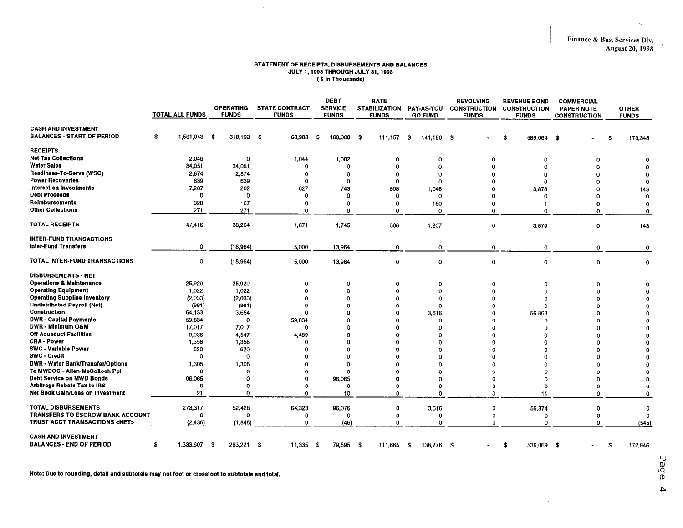$\mathcal{L}_{\mathcal{A}}$ 

#### STATEMENT OF RECEIPTS, DISBURSEMENTS AND BALANCES JULY 1,199s THROUGH JULY 31,1999 ( \$ In Thousands)

 $\mathcal{L}$ 

|                                                                            | <b>TOTAL ALL FUNDS</b> | <b>OPERATING</b><br><b>FUNDS</b> | <b>STATE CONTRACT</b><br><b>FUNDS</b> | DEBT<br><b>SERVICE</b><br><b>FUNDS</b> | <b>RATE</b><br><b>STABILIZATION</b><br><b>FUNDS</b> | <b>PAY-AS-YOU</b><br><b>GO FUND</b> | <b>REVOLVING</b><br><b>CONSTRUCTION</b><br><b>FUNDS</b> | <b>REVENUE BOND</b><br><b>CONSTRUCTION</b><br><b>FUNDS</b> | <b>COMMERCIAL</b><br><b>PAPER NOTE</b><br><b>CONSTRUCTION</b> | <b>OTHER</b><br><b>FUNDS</b> |
|----------------------------------------------------------------------------|------------------------|----------------------------------|---------------------------------------|----------------------------------------|-----------------------------------------------------|-------------------------------------|---------------------------------------------------------|------------------------------------------------------------|---------------------------------------------------------------|------------------------------|
| <b>CASH AND INVESTMENT</b><br><b>BALANCES - START OF PERIOD</b>            | 1,561,943 \$<br>\$     | $318,193$ \$                     | 68,988                                | 160,008<br>- \$                        | - \$<br>111.157                                     | \$<br>141,186 \$                    |                                                         | 589,064<br>\$                                              | -S                                                            | 173,348<br>£.                |
| <b>RECEIPTS</b>                                                            |                        |                                  |                                       |                                        |                                                     |                                     |                                                         |                                                            |                                                               |                              |
| <b>Net Tax Collections</b>                                                 | 2.046                  | 0                                | 1,044                                 | 1,002                                  | $\Omega$                                            | 0                                   | $\Omega$                                                | $\Omega$                                                   | n                                                             |                              |
| <b>Water Sales</b>                                                         | 34,051                 | 34,051                           | 0                                     | $\Omega$                               | $\mathbf 0$                                         | $\Omega$                            | $\Omega$                                                | $\Omega$                                                   |                                                               |                              |
| Readiness-To-Serve (WSC)                                                   | 2,874                  | 2,874                            | 0                                     | 0                                      | $\mathbf 0$                                         | Ω                                   | $\Omega$                                                | $\Omega$                                                   |                                                               |                              |
| <b>Power Recoveries</b>                                                    | 639                    | 639                              | 0                                     | 0                                      | $\Omega$                                            | Ω                                   | n                                                       | $\Omega$                                                   |                                                               | n                            |
| Interest on Investments                                                    | 7,207                  | 262                              | 627                                   | 743                                    | 508                                                 | 1,046                               | $\Omega$                                                | 3,878                                                      | O                                                             | 143                          |
| <b>Debt Proceeds</b>                                                       | $\circ$                | 0                                | 0                                     | 0                                      | $\Omega$                                            | $^{\circ}$                          | O                                                       | n                                                          | Ω                                                             | Ω                            |
| Reimbursements                                                             | 328                    | 167                              | Ω                                     | $\Omega$                               | $\Omega$                                            | 160                                 | 0                                                       |                                                            | O                                                             | $\Omega$                     |
| <b>Other Collections</b>                                                   | 271                    | 271                              | $\Omega$                              | $\mathbf{0}$                           | $\Omega$                                            | 0                                   | $\Omega$                                                | $\Omega$                                                   | 0                                                             | $\Omega$                     |
| <b>TOTAL RECEIPTS</b>                                                      | 47,416                 | 38,264                           | 1,671                                 | 1,745                                  | 508                                                 | 1,207                               | $\mathbf 0$                                             | 3,879                                                      | $\circ$                                                       | 143                          |
| <b>INTER-FUND TRANSACTIONS</b><br><b>Inter-Fund Transfers</b>              | 0                      | (18,964)                         | 5,000                                 | 13,964                                 | $\mathbf 0$                                         | 0                                   | $\mathbf 0$                                             | $\mathbf 0$                                                | 0                                                             | 0                            |
| <b>TOTAL INTER-FUND TRANSACTIONS</b>                                       | 0                      | (18,964)                         | 5,000                                 | 13,964                                 | $\mathbf 0$                                         | 0                                   | $\mathbf 0$                                             | $\circ$                                                    | $\mathbf 0$                                                   | 0                            |
| <b>DISBURSEMENTS - NET</b>                                                 |                        |                                  |                                       |                                        |                                                     |                                     |                                                         |                                                            |                                                               |                              |
| <b>Operations &amp; Maintenance</b>                                        | 25,929                 | 25,929                           | 0                                     | 0                                      | $\mathbf 0$                                         | 0                                   | $\mathbf 0$                                             | 0                                                          | Ω                                                             |                              |
| <b>Operating Equipment</b>                                                 | 1,022                  | 1,022                            | $\Omega$                              | $\Omega$                               | $\mathbf 0$                                         | $\Omega$                            | $\Omega$                                                | O                                                          |                                                               |                              |
| <b>Operating Supplies Inventory</b>                                        | (2,033)                | (2,033)                          | 0                                     | $\Omega$                               | $\Omega$                                            | $\Omega$                            | n                                                       | n                                                          |                                                               |                              |
| <b>Undistributed Payroll (Net)</b>                                         | (991)                  | (991)                            | O                                     | n                                      | $\Omega$                                            | $\Omega$                            | Ω                                                       | $\Omega$                                                   |                                                               |                              |
| Construction                                                               | 64,133                 | 3,654                            | 0                                     | n                                      | $\Omega$                                            | 3.616                               | $\Omega$                                                | 56,863                                                     |                                                               |                              |
| <b>DWR</b> - Capital Payments                                              | 59,834                 | $\mathbf 0$                      | 59,834                                | ∩                                      | $\Omega$                                            | 0                                   | $\Omega$                                                | $\Omega$                                                   |                                                               |                              |
| <b>DWR - Minimum O&amp;M</b>                                               | 17,017                 | 17,017                           | $\Omega$                              | n                                      | $\Omega$                                            | n                                   | $\Omega$                                                | O                                                          |                                                               |                              |
| Off Aqueduct Facilities                                                    | 9,036                  | 4,547                            | 4,489                                 | n                                      | $\Omega$                                            | n                                   |                                                         | 0                                                          |                                                               |                              |
| <b>CRA - Power</b>                                                         | 1,358                  | 1,358                            | $\Omega$                              | n                                      | $\Omega$                                            | n                                   |                                                         | 0                                                          |                                                               |                              |
| <b>SWC - Variable Power</b>                                                | 620                    | 620                              | n                                     | O                                      | $\Omega$                                            | n                                   |                                                         | n                                                          |                                                               |                              |
| <b>SWC - Credit</b>                                                        | $\Omega$               | 0                                | n                                     | $\Omega$                               | $\Omega$                                            | n                                   |                                                         | o                                                          |                                                               |                              |
| <b>DWR - Water Bank/Transfer/Options</b><br>To MWDOC - Allen-McColloch Ppl | 1,305<br>$\circ$       | 1,305<br>O                       |                                       | $\Omega$<br>$\mathbf 0$                | $\Omega$<br>-O                                      | n                                   |                                                         | Û<br>$\Omega$                                              |                                                               |                              |
| Debt Service on MWD Bonds                                                  | 96,065                 | Ω                                | 0<br>O                                | 96,065                                 | Ω                                                   | $\Omega$<br>∩                       | Ω<br>Ω                                                  | o                                                          | n                                                             |                              |
| <b>Arbitrage Rebate Tax to IRS</b>                                         | $\circ$                | $\Omega$                         | Ω                                     | $\circ$                                | $\Omega$                                            | $\Omega$                            | $\Omega$                                                | $\Omega$                                                   | $\Omega$                                                      | $\Omega$                     |
| Net Book Gain/Loss on Investment                                           | 21                     | Ω                                | Ω                                     | 10                                     | $\mathbf 0$                                         | $\Omega$                            | O                                                       | 11                                                         | $\Omega$                                                      | $\mathbf 0$                  |
|                                                                            |                        |                                  |                                       |                                        |                                                     |                                     |                                                         |                                                            |                                                               |                              |
| <b>TOTAL DISBURSEMENTS</b>                                                 | 273,317                | 52,428                           | 64,323                                | 96,076                                 | 0                                                   | 3,616                               | 0                                                       | 56,874                                                     | 0                                                             | $\mathbf 0$                  |
| <b>TRANSFERS TO ESCROW BANK ACCOUNT</b>                                    | $\Omega$               | $\Omega$                         | 0                                     | Ω                                      | $^{\circ}$                                          | 0                                   | -0                                                      | 0                                                          | o                                                             | $\Omega$                     |
| TRUST ACCT TRANSACTIONS <net></net>                                        | (2, 436)               | (1, 845)                         | 0                                     | (46)                                   | $\Omega$                                            | $\Omega$                            | O                                                       | $\Omega$                                                   | Ω                                                             | (545)                        |
| <b>CASH AND INVESTMENT</b><br><b>BALANCES - END OF PERIOD</b>              | 1,333,607 \$<br>\$     | 283,221                          | 11,335<br>- \$                        | 79,595<br>- \$                         | - \$<br>111,665                                     | 138,776<br>-\$                      | - \$                                                    | 536,069<br>\$.                                             | ŝ.                                                            | 172,946<br>\$                |

Note: Due to rounding, dstall and subtotals may not toot or crossfoot to subtotals and total.

**Carl Carl** 

 $\ddot{\phantom{a}}$ 

Page  $\overline{4}$ 

 $\mathcal{L}$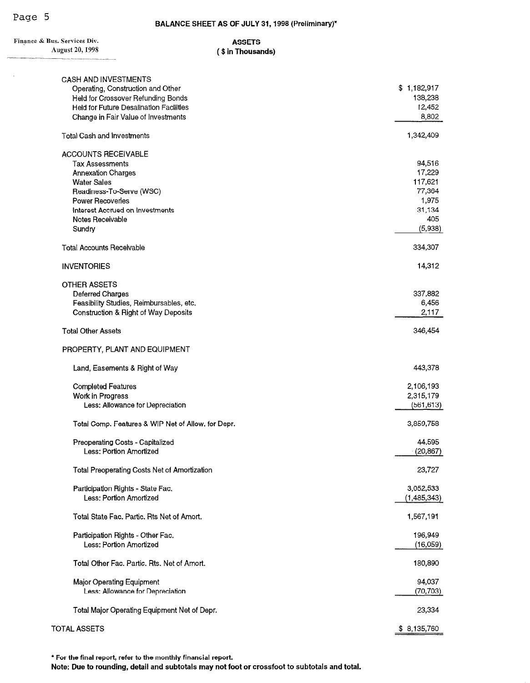$\mathcal{L}_{\mathcal{A}}$ 

| Finance & Bus. Services Div.                                     | <b>ASSETS</b>     |             |
|------------------------------------------------------------------|-------------------|-------------|
| <b>August 20, 1998</b>                                           | (\$ in Thousands) |             |
|                                                                  |                   |             |
| <b>CASH AND INVESTMENTS</b><br>Operating, Construction and Other |                   | \$1,182,917 |
| Held for Crossover Refunding Bonds                               |                   | 138,238     |
| Held for Future Desalination Facilities                          |                   | 12,452      |
| Change in Fair Value of Investments                              |                   | 8,802       |
| <b>Total Cash and Investments</b>                                |                   | 1,342,409   |
| <b>ACCOUNTS RECEIVABLE</b>                                       |                   |             |
| <b>Tax Assessments</b>                                           |                   | 94,516      |
| <b>Annexation Charges</b>                                        |                   | 17,229      |
| <b>Water Sales</b>                                               |                   | 117,621     |
| Readiness-To-Serve (WSC)                                         |                   | 77,364      |
| <b>Power Recoveries</b>                                          |                   | 1,975       |
| Interest Accrued on Investments                                  |                   | 31,134      |
| Notes Receivable                                                 |                   | 405         |
| Sundry                                                           |                   | (5,938)     |
| <b>Total Accounts Receivable</b>                                 |                   | 334,307     |
| <b>INVENTORIES</b>                                               |                   | 14,312      |
| <b>OTHER ASSETS</b>                                              |                   |             |
| <b>Deferred Charges</b>                                          |                   | 337,882     |
| Feasibility Studies, Reimbursables, etc.                         |                   | 6,456       |
| Construction & Right of Way Deposits                             |                   | 2,117       |
| <b>Total Other Assets</b>                                        |                   | 346,454     |
| PROPERTY, PLANT AND EQUIPMENT                                    |                   |             |
| Land, Easements & Right of Way                                   |                   | 443,378     |
| <b>Completed Features</b>                                        |                   | 2,106,193   |
| Work in Progress                                                 |                   | 2,315,179   |
| Less: Allowance for Depreciation                                 |                   | (561, 613)  |
| Total Comp. Features & WIP Net of Allow. for Depr.               |                   | 3,859,758   |
| Preoperating Costs - Capitalized                                 |                   | 44,595      |
| Less: Portion Amortized                                          |                   | (20, 867)   |
| Total Preoperating Costs Net of Amortization                     |                   | 23,727      |
| Participation Rights - State Fac.                                |                   | 3,052,533   |
| Less: Portion Amortized                                          |                   | (1,485,343) |
| Total State Fac. Partic. Rts Net of Amort.                       |                   | 1,567,191   |
|                                                                  |                   |             |
| Participation Rights - Other Fac.                                |                   | 196,949     |
| Less: Portion Amortized                                          |                   | (16,059)    |
| Total Other Fac. Partic. Rts. Net of Amort.                      |                   | 180,890     |
| Major Operating Equipment                                        |                   | 94,037      |
| Less: Allowance for Depreciation                                 |                   | (70, 703)   |
| Total Major Operating Equipment Net of Depr.                     |                   | 23,334      |
|                                                                  |                   |             |

**TOTAL ASSETS** 

\* For the final report, refer to the monthly financial report. Note: Due to rounding, detail and subtotals may not foot or crossfoot to subtotals and total.  $$8,135,760$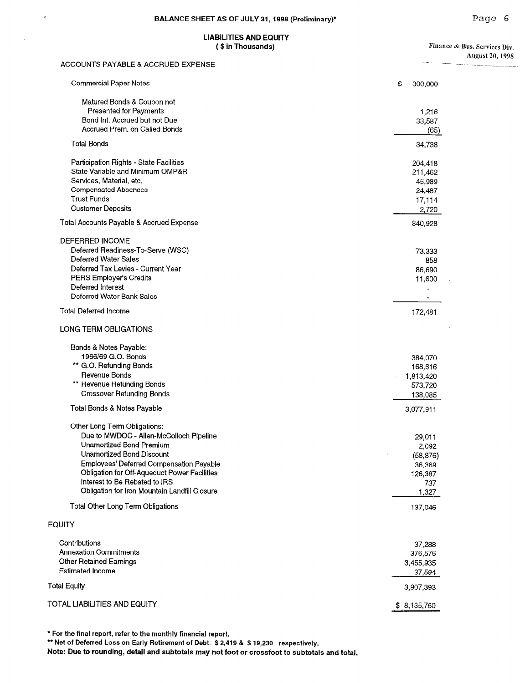# LIABILITIES AND EQUITY<br>(\$in Thousands)

Finance & Bus. Services Div. August 20,199s

| ACCOUNTS PAYABLE & ACCRUED EXPENSE            |               |
|-----------------------------------------------|---------------|
| Commercial Paper Notes                        | \$<br>300,000 |
| Matured Bonds & Coupon not                    |               |
| Presented for Payments                        | 1,216         |
| Bond Int. Accrued but not Due                 | 33,587        |
| Accrued Prem. on Called Bonds                 | (65)          |
| <b>Total Bonds</b>                            | 34,738        |
| Participation Rights - State Facilities       | 204,418       |
| State Variable and Minimum OMP&R              | 211,462       |
| Services, Material, etc.                      | 45,989        |
| <b>Compensated Absences</b>                   | 24,487        |
| <b>Trust Funds</b>                            | 17,114        |
| <b>Customer Deposits</b>                      | 2,720         |
| Total Accounts Payable & Accrued Expense      | 840,928       |
|                                               |               |
| DEFERRED INCOME                               |               |
| Deferred Readiness-To-Serve (WSC)             | 73,333        |
| <b>Deferred Water Sales</b>                   | 858           |
| Deferred Tax Levies - Current Year            | 86,690        |
| PERS Employer's Credits                       | 11,600        |
| Deferred Interest                             |               |
| Deferred Water Bank Sales                     |               |
| <b>Total Deferred Income</b>                  | 172,481       |
| LONG TERM OBLIGATIONS                         |               |
| Bonds & Notes Payable:                        |               |
| 1966/69 G.O. Bonds                            | 384,070       |
| ** G.O. Refunding Bonds                       | 168,616       |
| Revenue Bonds                                 | 1,813,420     |
| ** Revenue Refunding Bonds                    | 573,720       |
| <b>Crossover Refunding Bonds</b>              | 138,085       |
|                                               |               |
| Total Bonds & Notes Payable                   | 3,077,911     |
| Other Long Term Obligations:                  |               |
| Due to MWDOC - Allen-McColloch Pipeline       | 29,011        |
| Unamortized Bond Premium                      | 2,092         |
| Unamortized Bond Discount                     | (58, 876)     |
| Employees' Deferred Compensation Payable      | 36,369        |
| Obligation for Off-Aqueduct Power Facilities  | 126,387       |
| Interest to Be Rebated to IRS                 | 737           |
| Obligation for Iron Mountain Landfill Closure | 1,327         |
| Total Other Long Term Obligations             | 137,046       |
| <b>EQUITY</b>                                 |               |
| Contributions                                 | 37,288        |
| <b>Annexation Commitments</b>                 | 376,576       |
| <b>Other Retained Eamings</b>                 |               |
|                                               | 3,455,935     |
| <b>Estimated Income</b>                       | 37,594        |
| <b>Total Equity</b>                           | 3,907,393     |

TOTAL LIABILITIES AND EQUITY **\$ 8,135,760** 

 $\hat{\theta}$ 

\* For the final report, refer to the monthly financial report.

<sup>l</sup>\* Net of Deferred Loss on Early Retirement of Debt. \$2,419 & \$19,230 respectively.

Note: Due to rounding, detail and subtotals may not foot or crossfoot to subtotals and total.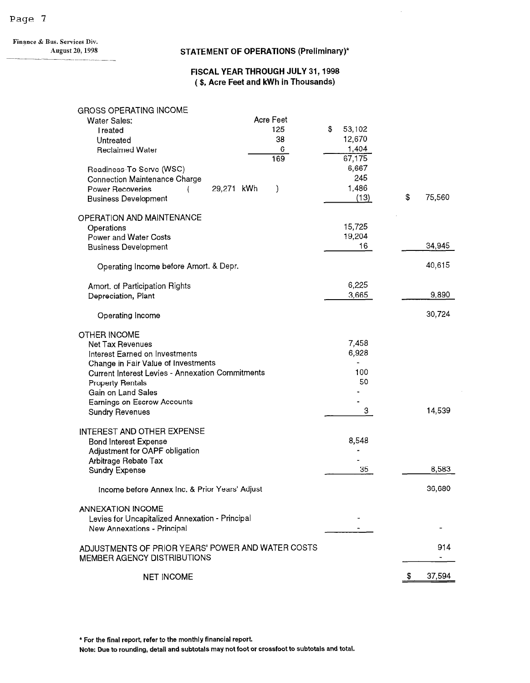Finance & Bus. Services Div.

#### August 20, 1998 STATEMENT OF OPERATIONS (Preliminary)\*

 $\ddot{\phantom{a}}$ 

#### FISCAL YEAR THROUGH JULY 31,1998 ( \$, Acre Feet and kWh in Thousands)

#### GROSS OPERATING INCOME

| <b>Water Sales:</b>                                     | Acre Feet     |              |    |        |
|---------------------------------------------------------|---------------|--------------|----|--------|
| Treated                                                 | 125           | \$<br>53,102 |    |        |
| Untreated                                               | 38            | 12,670       |    |        |
| <b>Reclaimed Water</b>                                  | 6             | 1,404        |    |        |
|                                                         | 169           | 67,175       |    |        |
| Readiness-To-Serve (WSC)                                |               | 6,667        |    |        |
| <b>Connection Maintenance Charge</b>                    |               | 245          |    |        |
|                                                         | 29,271 kWh    | 1,486        |    |        |
| <b>Power Recoveries</b>                                 | $\mathcal{E}$ | (13)         | \$ | 75,560 |
| <b>Business Development</b>                             |               |              |    |        |
| OPERATION AND MAINTENANCE                               |               |              |    |        |
|                                                         |               | 15,725       |    |        |
| Operations                                              |               | 19,204       |    |        |
| Power and Water Costs                                   |               |              |    |        |
| <b>Business Development</b>                             |               | 16           |    | 34,945 |
|                                                         |               |              |    |        |
| Operating Income before Amort. & Depr.                  |               |              |    | 40,615 |
|                                                         |               |              |    |        |
| Amort. of Participation Rights                          |               | 6,225        |    |        |
| Depreciation, Plant                                     |               | 3,665        |    | 9,890  |
|                                                         |               |              |    |        |
| Operating Income                                        |               |              |    | 30,724 |
|                                                         |               |              |    |        |
| OTHER INCOME                                            |               |              |    |        |
| Net Tax Revenues                                        |               | 7,458        |    |        |
| Interest Earned on Investments                          |               | 6,928        |    |        |
| Change in Fair Value of Investments                     |               |              |    |        |
| <b>Current Interest Levies - Annexation Commitments</b> |               | 100          |    |        |
| <b>Property Rentals</b>                                 |               | 50           |    |        |
| Gain on Land Sales                                      |               |              |    |        |
| <b>Earnings on Escrow Accounts</b>                      |               |              |    |        |
| <b>Sundry Revenues</b>                                  |               | 3            |    | 14,539 |
|                                                         |               |              |    |        |
| INTEREST AND OTHER EXPENSE                              |               |              |    |        |
| <b>Bond Interest Expense</b>                            |               | 8,548        |    |        |
| Adjustment for OAPF obligation                          |               |              |    |        |
| Arbitrage Rebate Tax                                    |               |              |    |        |
| <b>Sundry Expense</b>                                   |               | 35           |    | 8,583  |
|                                                         |               |              |    |        |
| Income before Annex Inc. & Prior Years' Adjust          |               |              |    | 36,680 |
|                                                         |               |              |    |        |
| <b>ANNEXATION INCOME</b>                                |               |              |    |        |
| Levies for Uncapitalized Annexation - Principal         |               |              |    |        |
| New Annexations - Principal                             |               |              |    |        |
|                                                         |               |              |    |        |
| ADJUSTMENTS OF PRIOR YEARS' POWER AND WATER COSTS       |               |              |    | 914    |
| MEMBER AGENCY DISTRIBUTIONS                             |               |              |    |        |
|                                                         |               |              |    |        |
| <b>NET INCOME</b>                                       |               |              | Ŧ. | 37,594 |
|                                                         |               |              |    |        |

\* For the final report, refer to the monthly financial report.

Note: Due to rounding, detail and subtotals may not foot or crossfoot to subtotals and total.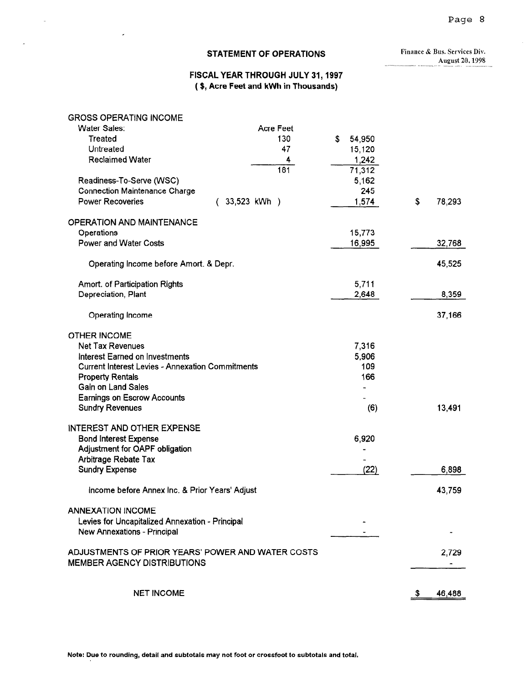## STATEMENT OF OPERATIONS Finance & Bus. Services Div.

r

August 20, 1998

#### FISCAL YEAR THROUGH JULY 31,1997 ( \$, Acre Feet and kWh in Thousands)

| <b>GROSS OPERATING INCOME</b>                           |              |              |              |
|---------------------------------------------------------|--------------|--------------|--------------|
| <b>Water Sales:</b>                                     | Acre Feet    |              |              |
| Treated                                                 | 130          | \$<br>54,950 |              |
| Untreated                                               | 47           | 15,120       |              |
| <b>Reclaimed Water</b>                                  | 4            | 1,242        |              |
|                                                         | 181          | 71,312       |              |
| Readiness-To-Serve (WSC)                                |              | 5,162        |              |
| <b>Connection Maintenance Charge</b>                    |              | 245          |              |
| <b>Power Recoveries</b>                                 | 33,523 kWh ) | 1,574        | \$<br>78,293 |
| <b>OPERATION AND MAINTENANCE</b>                        |              |              |              |
| Operations                                              |              | 15,773       |              |
| <b>Power and Water Costs</b>                            |              | 16,995       | 32,768       |
| Operating Income before Amort. & Depr.                  |              |              | 45,525       |
| Amort. of Participation Rights                          |              | 5,711        |              |
| Depreciation, Plant                                     |              | 2,648        | 8,359        |
| Operating Income                                        |              |              | 37,166       |
| <b>OTHER INCOME</b>                                     |              |              |              |
| <b>Net Tax Revenues</b>                                 |              | 7,316        |              |
| Interest Earned on Investments                          |              | 5,906        |              |
| <b>Current Interest Levies - Annexation Commitments</b> |              | 109          |              |
| <b>Property Rentals</b>                                 |              | 166          |              |
| Gain on Land Sales                                      |              |              |              |
| <b>Earnings on Escrow Accounts</b>                      |              |              |              |
| <b>Sundry Revenues</b>                                  |              | (6)          | 13,491       |
| <b>INTEREST AND OTHER EXPENSE</b>                       |              |              |              |
| <b>Bond Interest Expense</b>                            |              | 6,920        |              |
| Adjustment for OAPF obligation                          |              |              |              |
| Arbitrage Rebate Tax                                    |              |              |              |
| <b>Sundry Expense</b>                                   |              | (22)         | 6,898        |
| Income before Annex Inc. & Prior Years' Adjust          |              |              | 43,759       |
| <b>ANNEXATION INCOME</b>                                |              |              |              |
| Levies for Uncapitalized Annexation - Principal         |              |              |              |
| New Annexations - Principal                             |              |              |              |
| ADJUSTMENTS OF PRIOR YEARS' POWER AND WATER COSTS       |              |              | 2,729        |
| <b>MEMBER AGENCY DISTRIBUTIONS</b>                      |              |              |              |
| <b>NET INCOME</b>                                       |              |              |              |
|                                                         |              |              | \$<br>46,488 |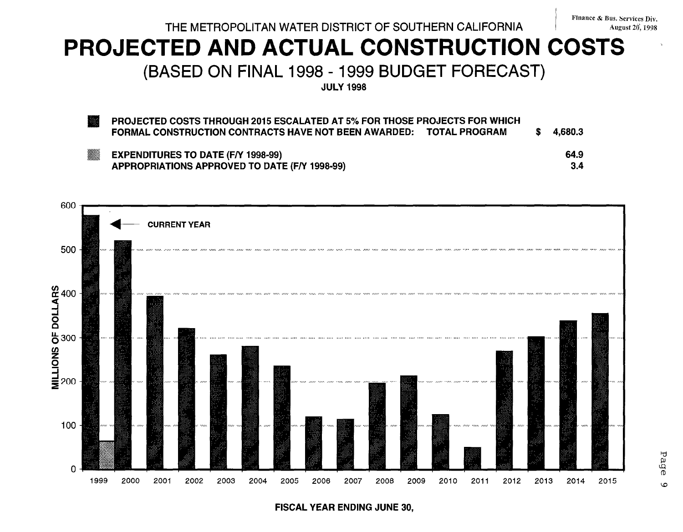## THE METROPOLITAN WATER DISTRICT OF SOUTHERN CALIFORNIA August 20', 1998

# PROJECTED AND ACTUAL CONSTRUCTION COSTS i

(BASED ON FINAL 1998 - 1999 BUDGET FORECAS

JULY 1998

PROJECTED COSTS THROUGH 2015 ESCALATED AT 5% FOR THOSE PROJECTS FOR WHICH FORMAL CONSTRUCTION CONTRACTS HAVE NOT BEEN AWARDED: TOTAL PROGRAM  $\quad$  \$ 4,680.3

EXPENDITURES TO DATE (F/Y 1998-99) 64.9 APPROPRIATIONS APPROVED TO DATE (F/Y 1998-99) 3.4



FISCAL YEAR ENDING JUNE 30,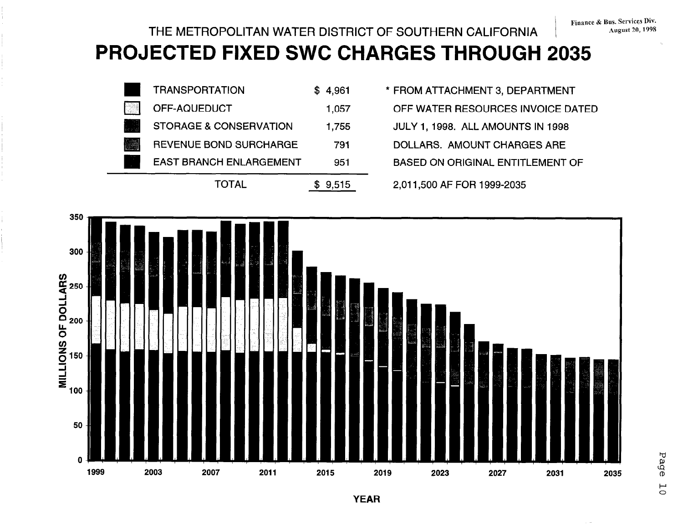## THE METROPOLITAN WATER DISTRICT OF SOUTHERN CALIFORNIA

# PROJECTED FIXED SWC CHARGES THROUGH 2035



- \* FROM ATTACHMENT 3, DEPARTMENT
	- OFF WATER RESOURCES INVOICE DATED
	- JULY 1, 1998. ALL AMOUNTS IN 1998
	- DOLLARS. AMOUNT CHARGES ARE
	- **BASED ON ORIGINAL ENTITLEMENT OF**

<sup>2,011,500</sup> AF FOR 1999-2035

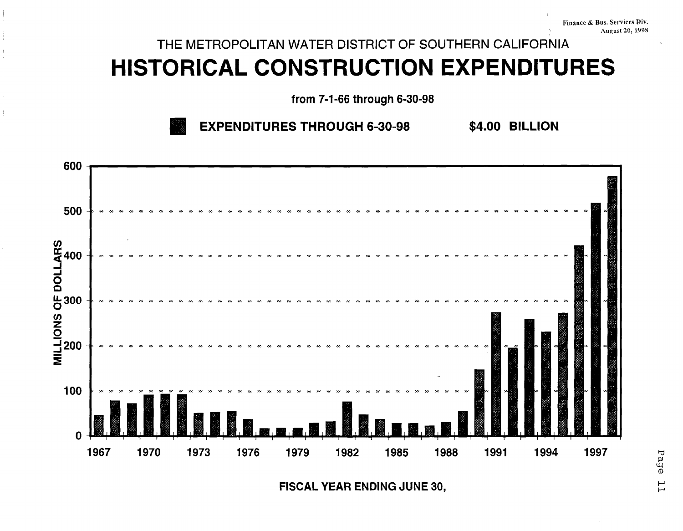# THE METROPOLITAN WATER DISTRICT OF SOUTHERN CALIFORNIA **HISTORICAL CONSTRUCTION EXPENDITURES**

from 7-1-66 through 6-30-98

**EXPENDITURES THROUGH 6-30-98** \$4.00 BILLION



FISCAL YEAR ENDING JUNE 30,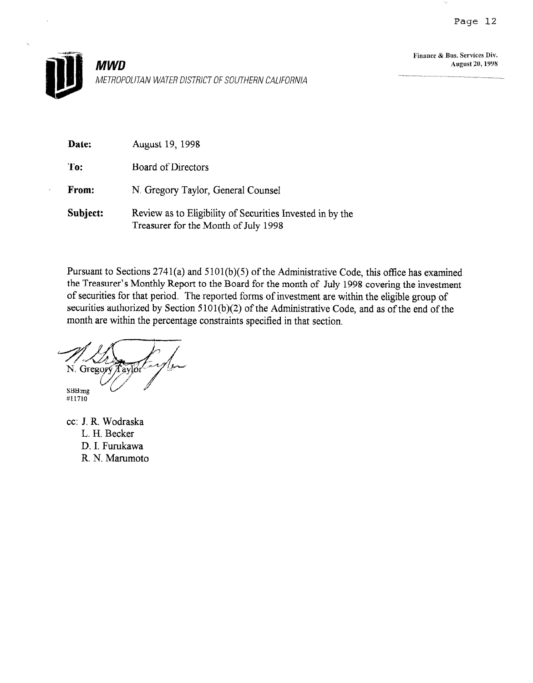

Finance & Bus. Services Div. August 20,199s

| Date:    | August 19, 1998                                                                                   |
|----------|---------------------------------------------------------------------------------------------------|
| To:      | Board of Directors                                                                                |
| From:    | N. Gregory Taylor, General Counsel                                                                |
| Subject: | Review as to Eligibility of Securities Invested in by the<br>Treasurer for the Month of July 1998 |

Pursuant to Sections 2741(a) and 5 101(b)(5) of the Administrative Code, this office has examined the Treasurer's Monthly Report to the Board for the month of July 1998 covering the investment of securities for that period. The reported forms of investment are within the eligible group of securities authorized by Section 5101(b)(2) of the Administrative Code, and as of the end of the month are within the percentage constraints specified in that section.

N. Gregory Taylor

SBB:mg<br>#11710

cc: J. R. Wodraska L. H. Becker D. I. Furukawa R. N. Marumoto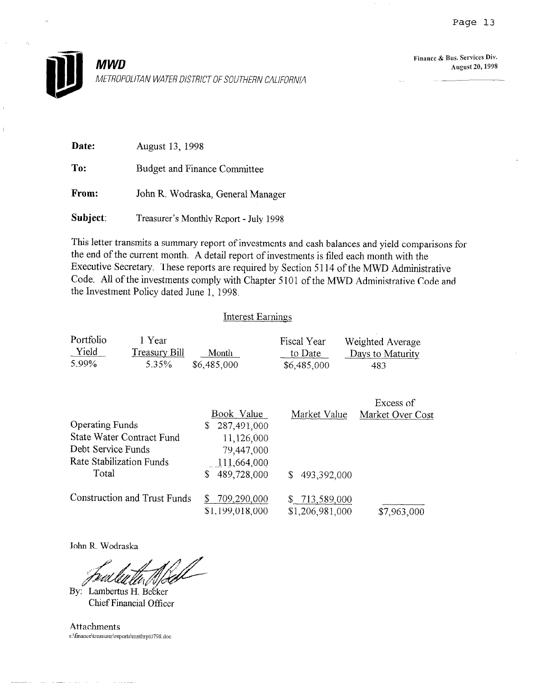

Finance & Bus. Services Div. August 20, 1998

| <b>Date:</b> | August 13, 1998                        |
|--------------|----------------------------------------|
| To:          | Budget and Finance Committee           |
| From:        | John R. Wodraska, General Manager      |
| Subject:     | Treasurer's Monthly Report - July 1998 |

This letter transmits a summary report of investments and cash balances and yield comparisons for the end of the current month. A detail report of investments is filed each month with the Executive Secretary. These reports are required by Section 5 114 of the MWD Administrative Code. All of the investments comply with Chapter 5101 of the MWD Administrative Code and the Investment Policy dated June 1, 1998.

#### Interest Earnings

| Portfolio<br>Yield<br>5.99%                           | 1 Year<br><b>Treasury Bill</b><br>5.35%                      | Month<br>\$6,485,000                                                                            | Fiscal Year<br>to Date<br>\$6,485,000 | Weighted Average<br>Days to Maturity<br>483 |
|-------------------------------------------------------|--------------------------------------------------------------|-------------------------------------------------------------------------------------------------|---------------------------------------|---------------------------------------------|
| <b>Operating Funds</b><br>Debt Service Funds<br>Total | <b>State Water Contract Fund</b><br>Rate Stabilization Funds | Book Value<br>287,491,000<br>S.<br>11,126,000<br>79,447,000<br>111,664,000<br>\$<br>489,728,000 | Market Value<br>493,392,000<br>\$     | Excess of<br>Market Over Cost               |
|                                                       | Construction and Trust Funds                                 | 709,290,000<br>\$<br>\$1,199,018,000                                                            | \$713,589,000<br>\$1,206,981,000      | \$7,963,000                                 |

John R. Wodraska

By: Lambertus H. Becker Chief Financial Officer

Attachments  $s:\lceil\frac{\tanh\mathbf{r}}{198.~\text{doc}}\rceil$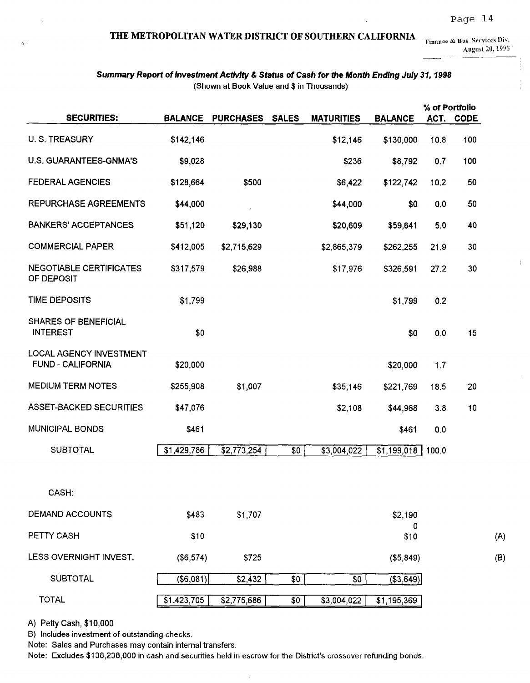## THE METROPOLITAN WATER DISTRICT OF SOUTHERN CALIFORNIA  $F_{\text{finance}} \& \text{Bus. Services Div.}$

August 20, 1998  $\frac{1}{2}$ 

 $\mathbb{L}$ 

#### Summary Report of Investment Activity & Status of Cash for the Month Ending July 31, 1998 (Shown at Book Value and \$ in Thousands)

|                                                            |                |                  |              |                   |                    | % of Portfolio |           |
|------------------------------------------------------------|----------------|------------------|--------------|-------------------|--------------------|----------------|-----------|
| <b>SECURITIES:</b>                                         | <b>BALANCE</b> | <b>PURCHASES</b> | <b>SALES</b> | <b>MATURITIES</b> | <b>BALANCE</b>     |                | ACT. CODE |
| U. S. TREASURY                                             | \$142,146      |                  |              | \$12,146          | \$130,000          | 10.8           | 100       |
| U.S. GUARANTEES-GNMA'S                                     | \$9,028        |                  |              | \$236             | \$8,792            | 0.7            | 100       |
| <b>FEDERAL AGENCIES</b>                                    | \$128,664      | \$500            |              | \$6,422           | \$122,742          | 10.2           | 50        |
| <b>REPURCHASE AGREEMENTS</b>                               | \$44,000       |                  |              | \$44,000          | \$0                | 0.0            | 50        |
| <b>BANKERS' ACCEPTANCES</b>                                | \$51,120       | \$29,130         |              | \$20,609          | \$59,641           | 5.0            | 40        |
| <b>COMMERCIAL PAPER</b>                                    | \$412,005      | \$2,715,629      |              | \$2,865,379       | \$262,255          | 21.9           | 30        |
| <b>NEGOTIABLE CERTIFICATES</b><br>OF DEPOSIT               | \$317,579      | \$26,988         |              | \$17,976          | \$326,591          | 27.2           | 30        |
| <b>TIME DEPOSITS</b>                                       | \$1,799        |                  |              |                   | \$1,799            | 0.2            |           |
| <b>SHARES OF BENEFICIAL</b><br><b>INTEREST</b>             | \$0            |                  |              |                   | \$0                | 0.0            | 15        |
| <b>LOCAL AGENCY INVESTMENT</b><br><b>FUND - CALIFORNIA</b> | \$20,000       |                  |              |                   | \$20,000           | 1.7            |           |
| <b>MEDIUM TERM NOTES</b>                                   | \$255,908      | \$1,007          |              | \$35,146          | \$221,769          | 18.5           | 20        |
| <b>ASSET-BACKED SECURITIES</b>                             | \$47,076       |                  |              | \$2,108           | \$44,968           | 3.8            | 10        |
| <b>MUNICIPAL BONDS</b>                                     | \$461          |                  |              |                   | \$461              | 0.0            |           |
| <b>SUBTOTAL</b>                                            | \$1,429,786    | \$2,773,254      | \$0          | \$3,004,022       | \$1,199,018        | 100.0          |           |
|                                                            |                |                  |              |                   |                    |                |           |
| CASH:                                                      |                |                  |              |                   |                    |                |           |
| <b>DEMAND ACCOUNTS</b>                                     | \$483          | \$1,707          |              |                   | \$2,190            |                |           |
| PETTY CASH                                                 | \$10           |                  |              |                   | 0<br>\$10          |                |           |
| LESS OVERNIGHT INVEST.                                     | (\$6,574)      | \$725            |              |                   | (\$5,849)          |                |           |
| <b>SUBTOTAL</b>                                            | (\$6,081)      | \$2,432          | \$0          | \$0               | (\$3,649)          |                |           |
| <b>TOTAL</b>                                               | \$1,423,705    | \$2,775,686      | \$0          | \$3,004,022       | $\sqrt{1,195,369}$ |                |           |

A) Petty Cash, \$10,000

B) Includes investment of outstanding checks.

Note: Sales and Purchases may contain internal transfers.

Note: Excludes \$138,238,000 in cash and securities held in escrow for the District's crossover refunding bonds.

 $\lambda$